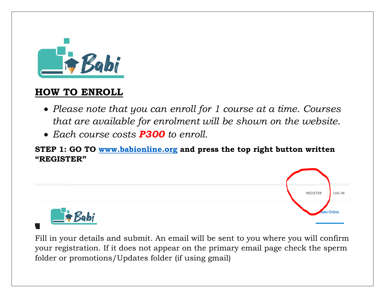

# **HOW TO ENROLL**

- *Please note that you can enroll for 1 course at a time. Courses that are available for enrolment will be shown on the website.*
- *Each course costs P300 to enroll.*

**STEP 1: GO TO [www.babionline.org](http://www.babionline.org/) and press the top right button written "REGISTER"**



Fill in your details and submit. An email will be sent to you where you will confirm your registration. If it does not appear on the primary email page check the sperm folder or promotions/Updates folder (if using gmail)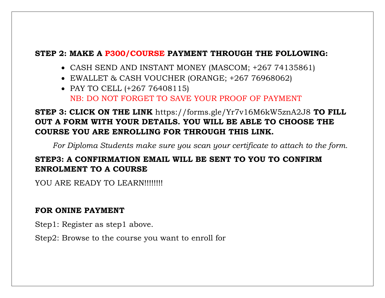#### **STEP 2: MAKE A P300/COURSE PAYMENT THROUGH THE FOLLOWING:**

- CASH SEND AND INSTANT MONEY (MASCOM; +267 74135861)
- EWALLET & CASH VOUCHER (ORANGE; +267 76968062)
- PAY TO CELL (+267 76408115) NB: DO NOT FORGET TO SAVE YOUR PROOF OF PAYMENT

## **STEP 3: CLICK ON THE LINK** https://forms.gle/Yr7v16M6kW5znA2J8 **TO FILL OUT A FORM WITH YOUR DETAILS. YOU WILL BE ABLE TO CHOOSE THE COURSE YOU ARE ENROLLING FOR THROUGH THIS LINK.**

*For Diploma Students make sure you scan your certificate to attach to the form.*

## **STEP3: A CONFIRMATION EMAIL WILL BE SENT TO YOU TO CONFIRM ENROLMENT TO A COURSE**

YOU ARE READY TO LEARN!!!!!!!!

#### **FOR ONINE PAYMENT**

Step1: Register as step1 above.

Step2: Browse to the course you want to enroll for